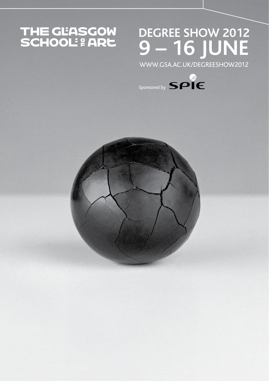# THE GLASGOW<br>SCHOOL: 2 ARE

## **DEGREE SHOW 2012 9 – 16 JUNE**

www.gsa.ac.uk/degreeshow2012



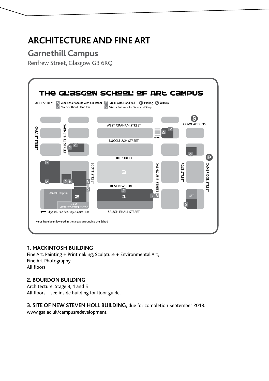## **ARCHITECTURE AND FINE ART**

## **Garnethill Campus**

Renfrew Street, Glasgow G3 6RQ



#### **1. MACKINTOSH BUILDING**

Fine Art: Painting + Printmaking; Sculpture + Environmental Art; Fine Art Photography All floors.

#### **2. BOURDON BUILDING**

Architecture: Stage 3, 4 and 5 All floors – see inside building for floor guide.

#### **3. SITE OF NEW STEVEN HOLL BUILDING,** due for completion September 2013.

www.gsa.ac.uk/campusredevelopment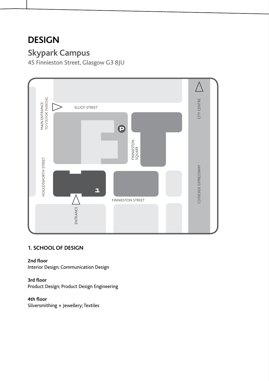## **DESIGN**

## **Skypark Campus**

45 Finnieston Street, Glasgow G3 8JU



#### **1. SCHOOL OF DESIGN**

**2nd floor**

Interior Design; Communication Design

#### **3rd floor**

Product Design; Product Design Engineering

#### **4th floor**

Silversmithing + Jewellery; Textiles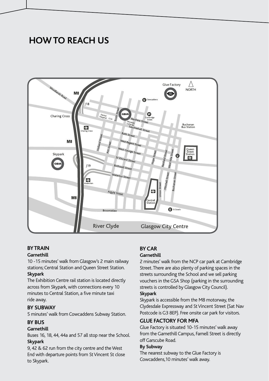## **HOW TO REACH US**



#### **BY TRAIN**

#### **Garnethill**

10 -15 minutes' walk from Glasgow's 2 main railway stations; Central Station and Queen Street Station.

#### **Skypark**

The Exhibition Centre rail station is located directly across from Skypark, with connections every 10 minutes to Central Station, a five minute taxi ride away.

#### **BY SUBWAY**

5 minutes' walk from Cowcaddens Subway Station.

#### **BY BUS**

#### **Garnethill**

Buses 16, 18, 44, 44a and 57 all stop near the School. **Skypark**

9, 42 & 62 run from the city centre and the West End with departure points from St Vincent St close to Skypark.

#### **BY CAR**

#### **Garnethill**

2 minutes' walk from the NCP car park at Cambridge Street. There are also plenty of parking spaces in the streets surrounding the School and we sell parking vouchers in the GSA Shop (parking in the surrounding streets is controlled by Glasgow City Council). **Skypark**

Skypark is accessible from the M8 motorway, the Clydesdale Expressway and St Vincent Street (Sat Nav Postcode is G3 8EP). Free onsite car park for visitors.

#### **GLUE FACTORY FOR MFA**

Glue Factory is situated 10-15 minutes' walk away from the Garnethill Campus, Farnell Street is directly off Garscube Road.

#### **By Subway**

The nearest subway to the Glue Factory is Cowcaddens,10 minutes' walk away.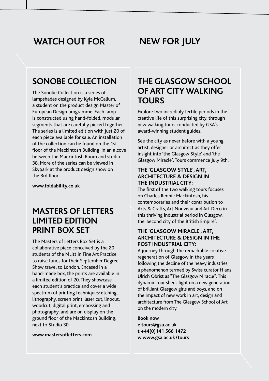## **WATCH OUT FOR NEW FOR JULY**

## **SONOBE COLLECTION**

The Sonobe Collection is a series of lampshades designed by Kyla McCallum, a student on the product design Master of European Design programme. Each lamp is constructed using hand-folded, modular segments that are carefully pieced together. The series is a limited edition with just 20 of each piece available for sale. An installation of the collection can be found on the 1st floor of the Mackintosh Building, in an alcove between the Mackintosh Room and studio 38. More of the series can be viewed in Skypark at the product design show on the 3rd floor.

**www.foldability.co.uk**

## **MASTERS OF LETTERS LIMITED EDITION PRINT BOX SET**

The Masters of Letters Box Set is a collaborative piece conceived by the 20 students of the MLitt in Fine Art Practice to raise funds for their September Degree Show travel to London. Encased in a hand-made box, the prints are available in a limited edition of 20. They showcase each student's practice and cover a wide spectrum of printing techniques: etching, lithography, screen print, laser cut, linocut, woodcut, digital print, embossing and photography, and are on display on the ground floor of the Mackintosh Building, next to Studio 30.

**www.mastersofletters.com**

## **THE GLASGOW SCHOOL OF ART CITY WALKING TOURS**

Explore two incredibly fertile periods in the creative life of this surprising city, through new walking tours conducted by GSA's award-winning student guides.

See the city as never before with a young artist, designer or architect as they offer insight into 'the Glasgow Style' and 'the Glasgow Miracle'. Tours commence July 9th.

#### **THE 'GLASGOW STYLE', ART, ARCHITECTURE & DESIGN IN THE INDUSTRIAL CITY:**

The first of the two walking tours focuses on Charles Rennie Mackintosh, his contemporaries and their contribution to Arts & Crafts, Art Nouveau and Art Deco in this thriving industrial period in Glasgow, the 'Second city of the British Empire'.

#### **THE 'GLASGOW MIRACLE', ART, ARCHITECTURE & DESIGN IN THE POST INDUSTRIAL CITY:**

A journey through the remarkable creative regeneration of Glasgow in the years following the decline of the heavy industries, a phenomenon termed by Swiss curator H ans Ulrich Obrist as "The Glasgow Miracle". This dynamic tour sheds light on a new generation of brilliant Glasgow girls and boys, and on the impact of new work in art, design and architecture from The Glasgow School of Art on the modern city.

**Book now e tours@gsa.ac.uk t +44(0)141 566 1472 w www.gsa.ac.uk/tours**